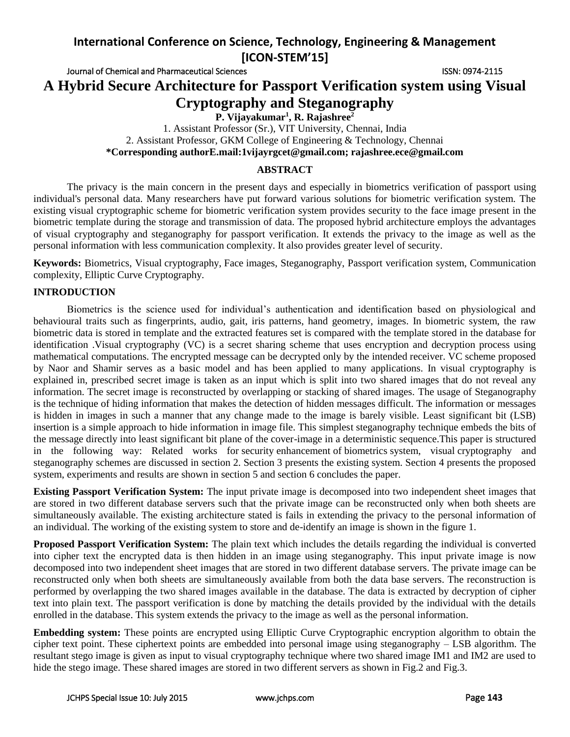# **International Conference on Science, Technology, Engineering & Management [ICON-STEM'15]**

Journal of Chemical and Pharmaceutical Sciences **ISSN: 0974-2115** ISSN: 0974-2115

**A Hybrid Secure Architecture for Passport Verification system using Visual Cryptography and Steganography**

**P. Vijayakumar<sup>1</sup> , R. Rajashree<sup>2</sup>**

1. Assistant Professor (Sr.), VIT University, Chennai, India 2. Assistant Professor, GKM College of Engineering & Technology, Chennai **\*Corresponding authorE.mail:1vijayrgcet@gmail.com; rajashree.ece@gmail.com**

## **ABSTRACT**

The privacy is the main concern in the present days and especially in biometrics verification of passport using individual's personal data. Many researchers have put forward various solutions for biometric verification system. The existing visual cryptographic scheme for biometric verification system provides security to the face image present in the biometric template during the storage and transmission of data. The proposed hybrid architecture employs the advantages of visual cryptography and steganography for passport verification. It extends the privacy to the image as well as the personal information with less communication complexity. It also provides greater level of security.

**Keywords:** Biometrics, Visual cryptography, Face images, Steganography, Passport verification system, Communication complexity, Elliptic Curve Cryptography*.*

# **INTRODUCTION**

Biometrics is the science used for individual's authentication and identification based on physiological and behavioural traits such as fingerprints, audio, gait, iris patterns, hand geometry, images. In biometric system, the raw biometric data is stored in template and the extracted features set is compared with the template stored in the database for identification .Visual cryptography (VC) is a secret sharing scheme that uses encryption and decryption process using mathematical computations. The encrypted message can be decrypted only by the intended receiver. VC scheme proposed by Naor and Shamir serves as a basic model and has been applied to many applications. In visual cryptography is explained in, prescribed secret image is taken as an input which is split into two shared images that do not reveal any information. The secret image is reconstructed by overlapping or stacking of shared images. The usage of Steganography is the technique of hiding information that makes the detection of hidden messages difficult. The information or messages is hidden in images in such a manner that any change made to the image is barely visible. Least significant bit (LSB) insertion is a simple approach to hide information in image file. This simplest steganography technique embeds the bits of the message directly into least significant bit plane of the cover-image in a deterministic sequence.This paper is structured in the following way: Related works for security enhancement of biometrics system, visual cryptography and steganography schemes are discussed in section 2. Section 3 presents the existing system. Section 4 presents the proposed system, experiments and results are shown in section 5 and section 6 concludes the paper.

**Existing Passport Verification System:** The input private image is decomposed into two independent sheet images that are stored in two different database servers such that the private image can be reconstructed only when both sheets are simultaneously available. The existing architecture stated is fails in extending the privacy to the personal information of an individual. The working of the existing system to store and de-identify an image is shown in the figure 1.

**Proposed Passport Verification System:** The plain text which includes the details regarding the individual is converted into cipher text the encrypted data is then hidden in an image using steganography. This input private image is now decomposed into two independent sheet images that are stored in two different database servers. The private image can be reconstructed only when both sheets are simultaneously available from both the data base servers. The reconstruction is performed by overlapping the two shared images available in the database. The data is extracted by decryption of cipher text into plain text. The passport verification is done by matching the details provided by the individual with the details enrolled in the database. This system extends the privacy to the image as well as the personal information.

**Embedding system:** These points are encrypted using Elliptic Curve Cryptographic encryption algorithm to obtain the cipher text point. These ciphertext points are embedded into personal image using steganography – LSB algorithm. The resultant stego image is given as input to visual cryptography technique where two shared image IM1 and IM2 are used to hide the stego image. These shared images are stored in two different servers as shown in Fig.2 and Fig.3.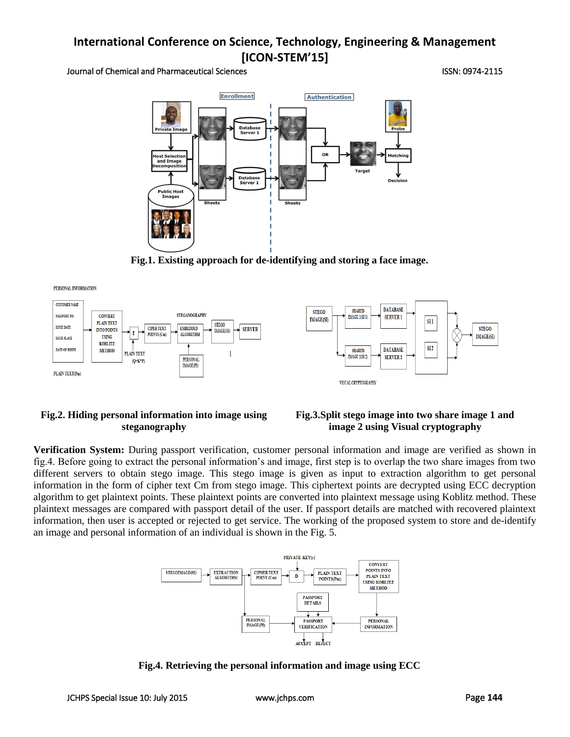# **International Conference on Science, Technology, Engineering & Management [ICON-STEM'15]**

#### Journal of Chemical and Pharmaceutical Sciences ISSN: 0974-2115



**Fig.1. Existing approach for de-identifying and storing a face image.**

PERSONAL INFORMATION



# **Fig.2. Hiding personal information into image using steganography**

# **Fig.3.Split stego image into two share image 1 and image 2 using Visual cryptography**

**Verification System:** During passport verification, customer personal information and image are verified as shown in fig.4. Before going to extract the personal information's and image, first step is to overlap the two share images from two different servers to obtain stego image. This stego image is given as input to extraction algorithm to get personal information in the form of cipher text Cm from stego image. This ciphertext points are decrypted using ECC decryption algorithm to get plaintext points. These plaintext points are converted into plaintext message using Koblitz method. These plaintext messages are compared with passport detail of the user. If passport details are matched with recovered plaintext information, then user is accepted or rejected to get service. The working of the proposed system to store and de-identify an image and personal information of an individual is shown in the Fig. 5.



**Fig.4. Retrieving the personal information and image using ECC**